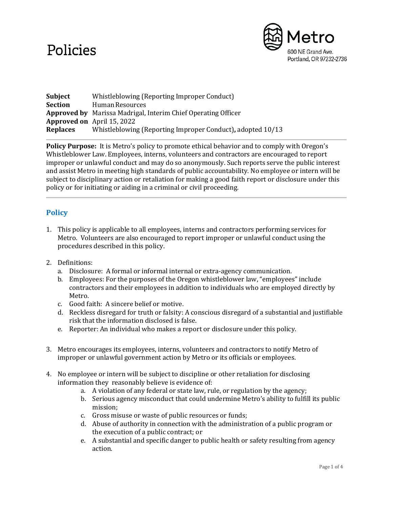# Policies



| Subject         | Whistleblowing (Reporting Improper Conduct)                          |
|-----------------|----------------------------------------------------------------------|
| <b>Section</b>  | Human Resources                                                      |
|                 | <b>Approved by</b> Marissa Madrigal, Interim Chief Operating Officer |
|                 | <b>Approved on</b> April 15, 2022                                    |
| <b>Replaces</b> | Whistleblowing (Reporting Improper Conduct), adopted 10/13           |

**Policy Purpose:** It is Metro's policy to promote ethical behavior and to comply with Oregon's Whistleblower Law. Employees, interns, volunteers and contractors are encouraged to report improper or unlawful conduct and may do so anonymously. Such reports serve the public interest and assist Metro in meeting high standards of public accountability. No employee or intern will be subject to disciplinary action or retaliation for making a good faith report or disclosure under this policy or for initiating or aiding in a criminal or civil proceeding.

## **Policy**

- 1. This policy is applicable to all employees, interns and contractors performing services for Metro. Volunteers are also encouraged to report improper or unlawful conduct using the procedures described in this policy.
- 2. Definitions:
	- a. Disclosure: A formal or informal internal or extra-agency communication.
	- b. Employees: For the purposes of the Oregon whistleblower law, "employees" include contractors and their employees in addition to individuals who are employed directly by Metro.
	- c. Good faith: A sincere belief or motive.
	- d. Reckless disregard for truth or falsity: A conscious disregard of a substantial and justifiable risk that the information disclosed is false.
	- e. Reporter: An individual who makes a report or disclosure under this policy.
- 3. Metro encourages its employees, interns, volunteers and contractors to notify Metro of improper or unlawful government action by Metro or its officials or employees.
- 4. No employee or intern will be subject to discipline or other retaliation for disclosing information they reasonably believe is evidence of:
	- a. A violation of any federal or state law, rule, or regulation by the agency;
	- b. Serious agency misconduct that could undermine Metro's ability to fulfill its public mission;
	- c. Gross misuse or waste of public resources or funds;
	- d. Abuse of authority in connection with the administration of a public program or the execution of a public contract; or
	- e. A substantial and specific danger to public health or safety resulting from agency action.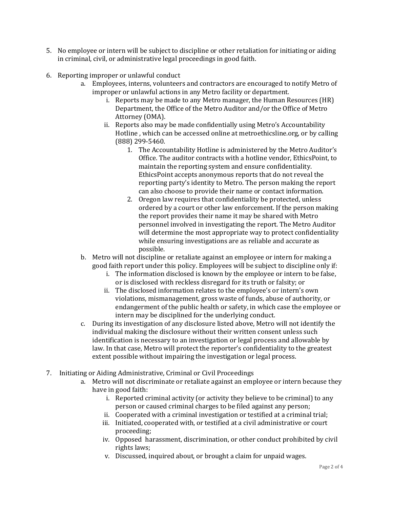- 5. No employee or intern will be subject to discipline or other retaliation for initiating or aiding in criminal, civil, or administrative legal proceedings in good faith.
- 6. Reporting improper or unlawful conduct
	- a. Employees, interns, volunteers and contractors are encouraged to notify Metro of improper or unlawful actions in any Metro facility or department.
		- i. Reports may be made to any Metro manager, the Human Resources (HR) Department, the Office of the Metro Auditor and/or the Office of Metro Attorney (OMA).
		- ii. Reports also may be made confidentially using Metro's Accountability Hotline , which can be accessed online at metroethicsline.org, or by calling (888) 299-5460.
			- 1. The Accountability Hotline is administered by the Metro Auditor's Office. The auditor contracts with a hotline vendor, EthicsPoint, to maintain the reporting system and ensure confidentiality. EthicsPoint accepts anonymous reports that do not reveal the reporting party's identity to Metro. The person making the report can also choose to provide their name or contact information.
			- 2. Oregon law requires that confidentiality be protected, unless ordered by a court or other law enforcement. If the person making the report provides their name it may be shared with Metro personnel involved in investigating the report. The Metro Auditor will determine the most appropriate way to protect confidentiality while ensuring investigations are as reliable and accurate as possible.
	- b. Metro will not discipline or retaliate against an employee or intern for making a good faith report under this policy. Employees will be subject to discipline only if:
		- i. The information disclosed is known by the employee or intern to be false, or is disclosed with reckless disregard for its truth or falsity; or
		- ii. The disclosed information relates to the employee's or intern's own violations, mismanagement, gross waste of funds, abuse of authority, or endangerment of the public health or safety, in which case the employee or intern may be disciplined for the underlying conduct.
	- c. During its investigation of any disclosure listed above, Metro will not identify the individual making the disclosure without their written consent unless such identification is necessary to an investigation or legal process and allowable by law. In that case, Metro will protect the reporter's confidentiality to the greatest extent possible without impairing the investigation or legal process.
- 7. Initiating or Aiding Administrative, Criminal or Civil Proceedings
	- a. Metro will not discriminate or retaliate against an employee or intern because they have in good faith:
		- i. Reported criminal activity (or activity they believe to be criminal) to any person or caused criminal charges to be filed against any person;
		- ii. Cooperated with a criminal investigation or testified at a criminal trial;
		- iii. Initiated, cooperated with, or testified at a civil administrative or court proceeding;
		- iv. Opposed harassment, discrimination, or other conduct prohibited by civil rights laws;
		- v. Discussed, inquired about, or brought a claim for unpaid wages.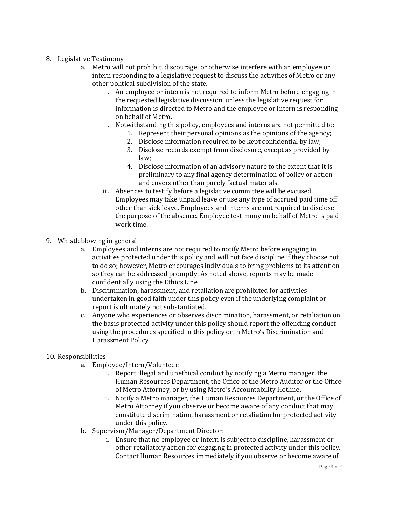### 8. Legislative Testimony

- a. Metro will not prohibit, discourage, or otherwise interfere with an employee or intern responding to a legislative request to discuss the activities of Metro or any other political subdivision of the state.
	- i. An employee or intern is not required to inform Metro before engaging in the requested legislative discussion, unless the legislative request for information is directed to Metro and the employee or intern is responding on behalf of Metro.
	- ii. Notwithstanding this policy, employees and interns are not permitted to:
		- 1. Represent their personal opinions as the opinions of the agency;
		- 2. Disclose information required to be kept confidential by law;
		- 3. Disclose records exempt from disclosure, except as provided by law;
		- 4. Disclose information of an advisory nature to the extent that it is preliminary to any final agency determination of policy or action and covers other than purely factual materials.
	- iii. Absences to testify before a legislative committee will be excused. Employees may take unpaid leave or use any type of accrued paid time off other than sick leave. Employees and interns are not required to disclose the purpose of the absence. Employee testimony on behalf of Metro is paid work time.
- 9. Whistleblowing in general
	- a. Employees and interns are not required to notify Metro before engaging in activities protected under this policy and will not face discipline if they choose not to do so; however, Metro encourages individuals to bring problems to its attention so they can be addressed promptly. As noted above, reports may be made confidentially using the Ethics Line
	- b. Discrimination, harassment, and retaliation are prohibited for activities undertaken in good faith under this policy even if the underlying complaint or report is ultimately not substantiated.
	- c. Anyone who experiences or observes discrimination, harassment, or retaliation on the basis protected activity under this policy should report the offending conduct using the procedures specified in this policy or in Metro's Discrimination and Harassment Policy.

### 10. Responsibilities

- a. Employee/Intern/Volunteer:
	- i. Report illegal and unethical conduct by notifying a Metro manager, the Human Resources Department, the Office of the Metro Auditor or the Office of Metro Attorney, or by using Metro's Accountability Hotline.
	- ii. Notify a Metro manager, the Human Resources Department, or the Office of Metro Attorney if you observe or become aware of any conduct that may constitute discrimination, harassment or retaliation for protected activity under this policy.
- b. Supervisor/Manager/Department Director:
	- i. Ensure that no employee or intern is subject to discipline, harassment or other retaliatory action for engaging in protected activity under this policy. Contact Human Resources immediately if you observe or become aware of